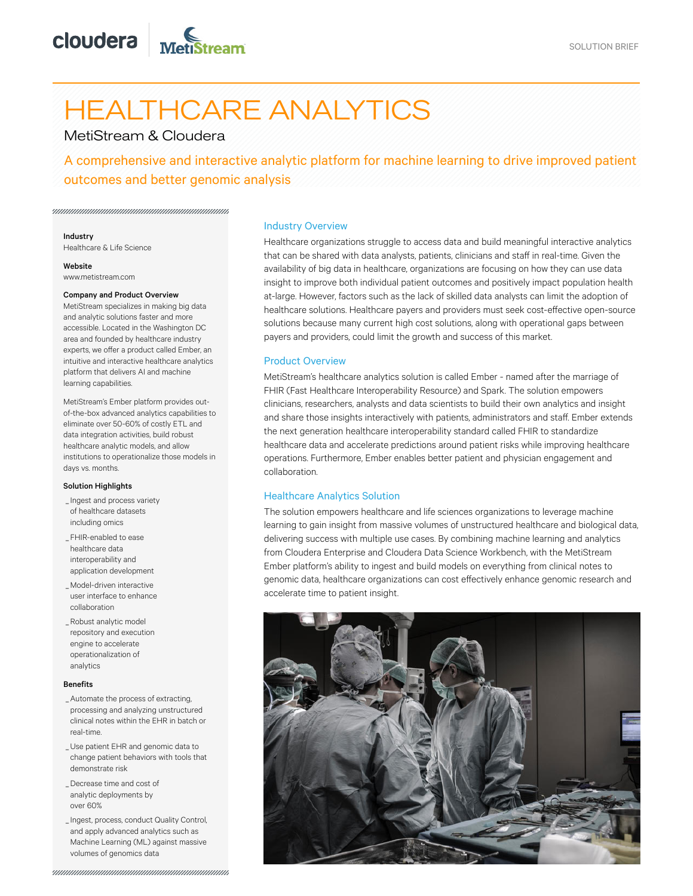# HEALTHCARE ANALYTICS

# MetiStream & Cloudera

A comprehensive and interactive analytic platform for machine learning to drive improved patient outcomes and better genomic analysis

## Industry

Healthcare & Life Science

Website www.metistream.com

#### Company and Product Overview

MetiStream specializes in making big data and analytic solutions faster and more accessible. Located in the Washington DC area and founded by healthcare industry experts, we offer a product called Ember, an intuitive and interactive healthcare analytics platform that delivers AI and machine learning capabilities.

MetiStream's Ember platform provides outof-the-box advanced analytics capabilities to eliminate over 50-60% of costly ETL and data integration activities, build robust healthcare analytic models, and allow institutions to operationalize those models in days vs. months.

#### Solution Highlights

- \_Ingest and process variety of healthcare datasets including omics
- FHIR-enabled to ease \_ healthcare data interoperability and application development
- Model-driven interactive \_ user interface to enhance collaboration
- Robust analytic model \_ repository and execution engine to accelerate operationalization of analytics

# Benefits

- Automate the process of extracting, \_ processing and analyzing unstructured clinical notes within the EHR in batch or real-time.
- Use patient EHR and genomic data to \_ change patient behaviors with tools that demonstrate risk
- Decrease time and cost of \_ analytic deployments by over 60%
- \_Ingest, process, conduct Quality Control, and apply advanced analytics such as Machine Learning (ML) against massive volumes of genomics data

# Industry Overview

Healthcare organizations struggle to access data and build meaningful interactive analytics that can be shared with data analysts, patients, clinicians and staff in real-time. Given the availability of big data in healthcare, organizations are focusing on how they can use data insight to improve both individual patient outcomes and positively impact population health at-large. However, factors such as the lack of skilled data analysts can limit the adoption of healthcare solutions. Healthcare payers and providers must seek cost-effective open-source solutions because many current high cost solutions, along with operational gaps between payers and providers, could limit the growth and success of this market.

# Product Overview

MetiStream's healthcare analytics solution is called Ember - named after the marriage of FHIR (Fast Healthcare Interoperability Resource) and Spark. The solution empowers clinicians, researchers, analysts and data scientists to build their own analytics and insight and share those insights interactively with patients, administrators and staff. Ember extends the next generation healthcare interoperability standard called FHIR to standardize healthcare data and accelerate predictions around patient risks while improving healthcare operations. Furthermore, Ember enables better patient and physician engagement and collaboration.

# Healthcare Analytics Solution

The solution empowers healthcare and life sciences organizations to leverage machine learning to gain insight from massive volumes of unstructured healthcare and biological data, delivering success with multiple use cases. By combining machine learning and analytics from Cloudera Enterprise and Cloudera Data Science Workbench, with the MetiStream Ember platform's ability to ingest and build models on everything from clinical notes to genomic data, healthcare organizations can cost effectively enhance genomic research and accelerate time to patient insight.